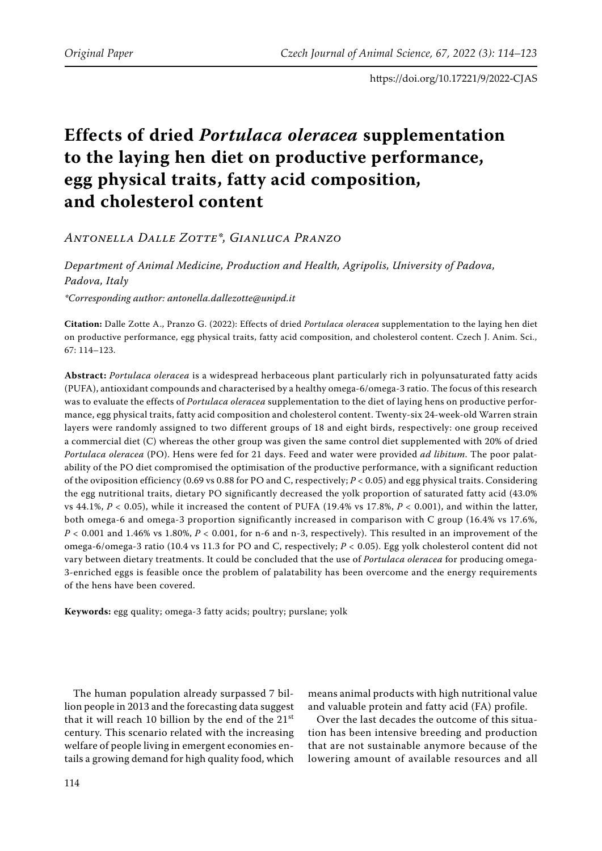# **Effects of dried** *Portulaca oleracea* **supplementation to the laying hen diet on productive performance, egg physical traits, fatty acid composition, and cholesterol content**

*Antonella Dalle Zotte\*, Gianluca Pranzo*

*Department of Animal Medicine, Production and Health, Agripolis, University of Padova, Padova, Italy*

*\*Corresponding author: antonella.dallezotte@unipd.it*

**Citation:** Dalle Zotte A., Pranzo G. (2022): Effects of dried *Portulaca oleracea* supplementation to the laying hen diet on productive performance, egg physical traits, fatty acid composition, and cholesterol content. Czech J. Anim. Sci., 67: 114–123.

**Abstract:** *Portulaca oleracea* is a widespread herbaceous plant particularly rich in polyunsaturated fatty acids (PUFA), antioxidant compounds and characterised by a healthy omega-6/omega-3 ratio. The focus of this research was to evaluate the effects of *Portulaca oleracea* supplementation to the diet of laying hens on productive performance, egg physical traits, fatty acid composition and cholesterol content. Twenty-six 24-week-old Warren strain layers were randomly assigned to two different groups of 18 and eight birds, respectively: one group received a commercial diet (C) whereas the other group was given the same control diet supplemented with 20% of dried *Portulaca oleracea* (PO). Hens were fed for 21 days. Feed and water were provided *ad libitum*. The poor palatability of the PO diet compromised the optimisation of the productive performance, with a significant reduction of the oviposition efficiency (0.69 vs 0.88 for PO and C, respectively; *P <* 0.05) and egg physical traits. Considering the egg nutritional traits, dietary PO significantly decreased the yolk proportion of saturated fatty acid (43.0% vs 44.1%, *P <* 0.05), while it increased the content of PUFA (19.4% vs 17.8%, *P <* 0.001), and within the latter, both omega-6 and omega-3 proportion significantly increased in comparison with C group (16.4% vs 17.6%, *P <* 0.001 and 1.46% vs 1.80%, *P <* 0.001, for n-6 and n-3, respectively). This resulted in an improvement of the omega-6/omega-3 ratio (10.4 vs 11.3 for PO and C, respectively; *P <* 0.05). Egg yolk cholesterol content did not vary between dietary treatments. It could be concluded that the use of *Portulaca oleracea* for producing omega-3-enriched eggs is feasible once the problem of palatability has been overcome and the energy requirements of the hens have been covered.

**Keywords:** egg quality; omega-3 fatty acids; poultry; purslane; yolk

The human population already surpassed 7 billion people in 2013 and the forecasting data suggest that it will reach 10 billion by the end of the 21st century. This scenario related with the increasing welfare of people living in emergent economies entails a growing demand for high quality food, which

means animal products with high nutritional value and valuable protein and fatty acid (FA) profile.

Over the last decades the outcome of this situation has been intensive breeding and production that are not sustainable anymore because of the lowering amount of available resources and all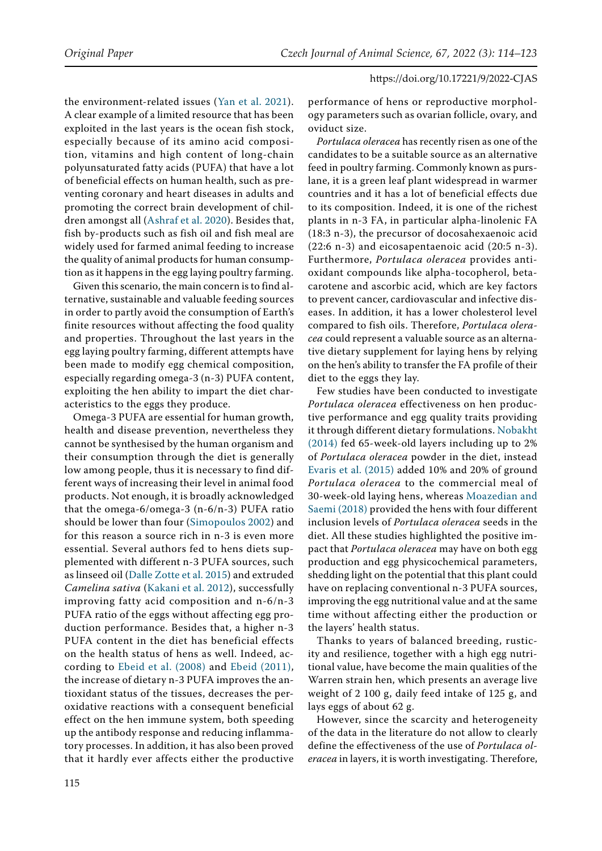the environment-related issues ([Yan et al. 2021](#page-9-0)). A clear example of a limited resource that has been exploited in the last years is the ocean fish stock, especially because of its amino acid composition, vitamins and high content of long-chain polyunsaturated fatty acids (PUFA) that have a lot of beneficial effects on human health, such as preventing coronary and heart diseases in adults and promoting the correct brain development of children amongst all ([Ashraf et al. 2020](#page-8-0)). Besides that, fish by-products such as fish oil and fish meal are widely used for farmed animal feeding to increase the quality of animal products for human consumption as it happens in the egg laying poultry farming.

Given this scenario, the main concern is to find alternative, sustainable and valuable feeding sources in order to partly avoid the consumption of Earth's finite resources without affecting the food quality and properties. Throughout the last years in the egg laying poultry farming, different attempts have been made to modify egg chemical composition, especially regarding omega-3 (n-3) PUFA content, exploiting the hen ability to impart the diet characteristics to the eggs they produce.

Omega-3 PUFA are essential for human growth, health and disease prevention, nevertheless they cannot be synthesised by the human organism and their consumption through the diet is generally low among people, thus it is necessary to find different ways of increasing their level in animal food products. Not enough, it is broadly acknowledged that the omega-6/omega-3 (n-6/n-3) PUFA ratio should be lower than four ([Simopoulos 2002\)](#page-8-1) and for this reason a source rich in n-3 is even more essential. Several authors fed to hens diets supplemented with different n-3 PUFA sources, such as linseed oil [\(Dalle Zotte et al. 2015\)](#page-8-2) and extruded *Camelina sativa* ([Kakani et al. 2012\)](#page-8-3), successfully improving fatty acid composition and n-6/n-3 PUFA ratio of the eggs without affecting egg production performance. Besides that, a higher n-3 PUFA content in the diet has beneficial effects on the health status of hens as well. Indeed, according to [Ebeid et al. \(2008\)](#page-8-4) and [Ebeid \(2011\)](#page-8-5), the increase of dietary n-3 PUFA improves the antioxidant status of the tissues, decreases the peroxidative reactions with a consequent beneficial effect on the hen immune system, both speeding up the antibody response and reducing inflammatory processes. In addition, it has also been proved that it hardly ever affects either the productive performance of hens or reproductive morphology parameters such as ovarian follicle, ovary, and oviduct size.

*Portulaca oleracea* has recently risen as one of the candidates to be a suitable source as an alternative feed in poultry farming. Commonly known as purslane, it is a green leaf plant widespread in warmer countries and it has a lot of beneficial effects due to its composition. Indeed, it is one of the richest plants in n-3 FA, in particular alpha-linolenic FA (18:3 n-3), the precursor of docosahexaenoic acid (22:6 n-3) and eicosapentaenoic acid (20:5 n-3). Furthermore, *Portulaca oleracea* provides antioxidant compounds like alpha-tocopherol, betacarotene and ascorbic acid, which are key factors to prevent cancer, cardiovascular and infective diseases. In addition, it has a lower cholesterol level compared to fish oils. Therefore, *Portulaca oleracea* could represent a valuable source as an alternative dietary supplement for laying hens by relying on the hen's ability to transfer the FA profile of their diet to the eggs they lay.

Few studies have been conducted to investigate *Portulaca oleracea* effectiveness on hen productive performance and egg quality traits providing it through different dietary formulations. [Nobakht](#page-8-6) [\(2014\)](#page-8-6) fed 65-week-old layers including up to 2% of *Portulaca oleracea* powder in the diet, instead [Evaris et al. \(2015\)](#page-8-7) added 10% and 20% of ground *Portulaca oleracea* to the commercial meal of 30-week-old laying hens, whereas [Moazedian and](#page-8-8) [Saemi \(2018\)](#page-8-8) provided the hens with four different inclusion levels of *Portulaca oleracea* seeds in the diet. All these studies highlighted the positive impact that *Portulaca oleracea* may have on both egg production and egg physicochemical parameters, shedding light on the potential that this plant could have on replacing conventional n-3 PUFA sources, improving the egg nutritional value and at the same time without affecting either the production or the layers' health status.

Thanks to years of balanced breeding, rusticity and resilience, together with a high egg nutritional value, have become the main qualities of the Warren strain hen, which presents an average live weight of 2 100 g, daily feed intake of 125 g, and lays eggs of about 62 g.

However, since the scarcity and heterogeneity of the data in the literature do not allow to clearly define the effectiveness of the use of *Portulaca oleracea* in layers, it is worth investigating. Therefore,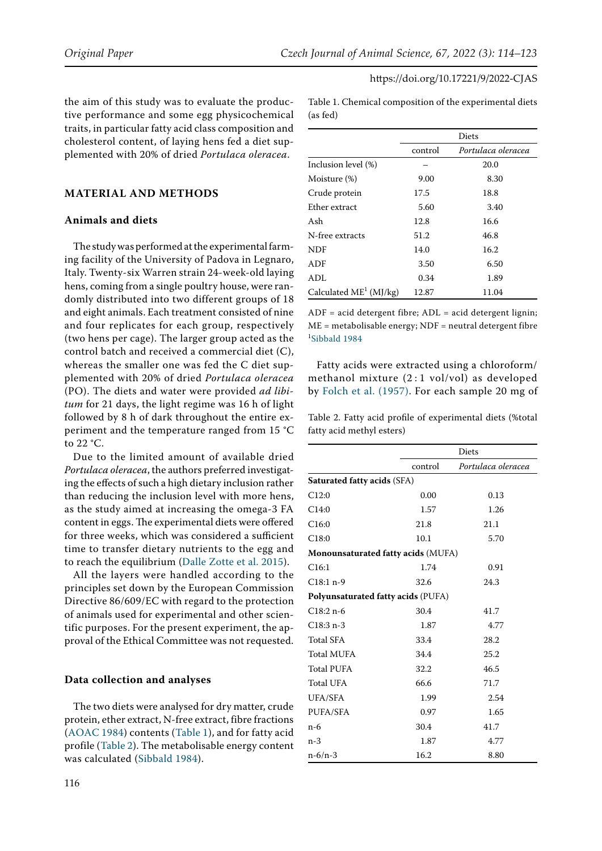the aim of this study was to evaluate the productive performance and some egg physicochemical traits, in particular fatty acid class composition and cholesterol content, of laying hens fed a diet supplemented with 20% of dried *Portulaca oleracea*.

# **MATERIAL AND METHODS**

## **Animals and diets**

The study was performed at the experimental farming facility of the University of Padova in Legnaro, Italy. Twenty-six Warren strain 24-week-old laying hens, coming from a single poultry house, were randomly distributed into two different groups of 18 and eight animals. Each treatment consisted of nine and four replicates for each group, respectively (two hens per cage). The larger group acted as the control batch and received a commercial diet (C), whereas the smaller one was fed the C diet supplemented with 20% of dried *Portulaca oleracea* (PO). The diets and water were provided *ad libitum* for 21 days, the light regime was 16 h of light followed by 8 h of dark throughout the entire experiment and the temperature ranged from 15 °C to 22 °C.

Due to the limited amount of available dried *Portulaca oleracea*, the authors preferred investigating the effects of such a high dietary inclusion rather than reducing the inclusion level with more hens, as the study aimed at increasing the omega-3 FA content in eggs. The experimental diets were offered for three weeks, which was considered a sufficient time to transfer dietary nutrients to the egg and to reach the equilibrium [\(Dalle Zotte et al. 2015](#page-8-2)).

All the layers were handled according to the principles set down by the European Commission Directive 86/609/EC with regard to the protection of animals used for experimental and other scientific purposes. For the present experiment, the approval of the Ethical Committee was not requested.

#### **Data collection and analyses**

The two diets were analysed for dry matter, crude protein, ether extract, N-free extract, fibre fractions [\(AOAC 1984](#page-8-10)) contents (Table 1), and for fatty acid profile (Table 2). The metabolisable energy content was calculated ([Sibbald 1984](#page-8-11)).

(as fed) Diets control *Portulaca oleracea* Inclusion level (%)  $-$  20.0 Moisture (%) 9.00 8.30 Crude protein 17.5 18.8 Ether extract 5.60 3.40 Ash 12.8 16.6 N-free extracts 51.2 46.8

Table 1. Chemical composition of the experimental diets

| N-free extracts           | 51.2  | 46.8  |
|---------------------------|-------|-------|
| NDF                       | 14.0  | 16.2  |
| ADF                       | 3.50  | 6.50  |
| ADL.                      | 0.34  | 1.89  |
| Calculated $ME^1$ (MJ/kg) | 12.87 | 11.04 |

ADF = acid detergent fibre; ADL = acid detergent lignin; ME = metabolisable energy; NDF = neutral detergent fibre 1 [Sibbald 1984](#page-8-11)

Fatty acids were extracted using a chloroform/ methanol mixture (2 : 1 vol/vol) as developed by [Folch et al. \(1957\)](#page-8-9). For each sample 20 mg of

Table 2. Fatty acid profile of experimental diets (%total fatty acid methyl esters)

|                                    | Diets        |                    |  |  |  |
|------------------------------------|--------------|--------------------|--|--|--|
|                                    | control      | Portulaca oleracea |  |  |  |
| Saturated fatty acids (SFA)        |              |                    |  |  |  |
| C12:0                              | 0.00         | 0.13               |  |  |  |
| C14:0                              | 1.57         | 1.26               |  |  |  |
| C16:0                              | 21.8         | 21.1               |  |  |  |
| C18:0                              | 10.1         | 5.70               |  |  |  |
| Monounsaturated fatty acids (MUFA) |              |                    |  |  |  |
| C16:1                              | 1.74         | 0.91               |  |  |  |
| $C18:1 n-9$                        | 24.3<br>32.6 |                    |  |  |  |
| Polyunsaturated fatty acids (PUFA) |              |                    |  |  |  |
| $C18:2 n-6$                        | 30.4         | 41.7               |  |  |  |
| $C18:3 n-3$                        | 1.87         | 4.77               |  |  |  |
| <b>Total SFA</b>                   | 33.4         | 28.2               |  |  |  |
| <b>Total MUFA</b>                  | 34.4         | 25.2               |  |  |  |
| <b>Total PUFA</b>                  | 32.2         | 46.5               |  |  |  |
| <b>Total UFA</b>                   | 66.6         | 71.7               |  |  |  |
| UFA/SFA                            | 1.99         | 2.54               |  |  |  |
| PUFA/SFA                           | 0.97         | 1.65               |  |  |  |
| n-6                                | 30.4         | 41.7               |  |  |  |
| $n-3$                              | 1.87         | 4.77               |  |  |  |
| $n-6/n-3$                          | 16.2         | 8.80               |  |  |  |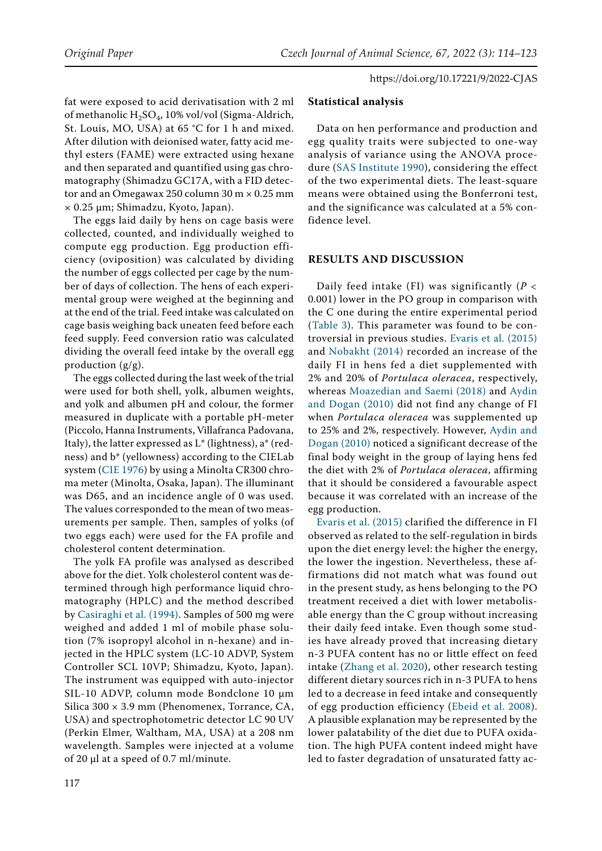fat were exposed to acid derivatisation with 2 ml of methanolic H2SO4, 10% vol/vol (Sigma-Aldrich, St. Louis, MO, USA) at 65 °C for 1 h and mixed. After dilution with deionised water, fatty acid methyl esters (FAME) were extracted using hexane and then separated and quantified using gas chromatography (Shimadzu GC17A, with a FID detector and an Omegawax 250 column 30 m × 0.25 mm × 0.25 µm; Shimadzu, Kyoto, Japan).

The eggs laid daily by hens on cage basis were collected, counted, and individually weighed to compute egg production. Egg production efficiency (oviposition) was calculated by dividing the number of eggs collected per cage by the number of days of collection. The hens of each experimental group were weighed at the beginning and at the end of the trial. Feed intake was calculated on cage basis weighing back uneaten feed before each feed supply. Feed conversion ratio was calculated dividing the overall feed intake by the overall egg production (g/g).

The eggs collected during the last week of the trial were used for both shell, yolk, albumen weights, and yolk and albumen pH and colour, the former measured in duplicate with a portable pH-meter (Piccolo, Hanna Instruments, Villafranca Padovana, Italy), the latter expressed as L\* (lightness), a\* (redness) and b\* (yellowness) according to the CIELab system ([CIE 1976](#page-8-12)) by using a Minolta CR300 chroma meter (Minolta, Osaka, Japan). The illuminant was D65, and an incidence angle of 0 was used. The values corresponded to the mean of two measurements per sample. Then, samples of yolks (of two eggs each) were used for the FA profile and cholesterol content determination.

The yolk FA profile was analysed as described above for the diet. Yolk cholesterol content was determined through high performance liquid chromatography (HPLC) and the method described by [Casiraghi et al. \(1994\).](#page-8-13) Samples of 500 mg were weighed and added 1 ml of mobile phase solution (7% isopropyl alcohol in n-hexane) and injected in the HPLC system (LC-10 ADVP, System Controller SCL 10VP; Shimadzu, Kyoto, Japan). The instrument was equipped with auto-injector SIL-10 ADVP, column mode Bondclone 10 µm Silica  $300 \times 3.9$  mm (Phenomenex, Torrance, CA, USA) and spectrophotometric detector LC 90 UV (Perkin Elmer, Waltham, MA, USA) at a 208 nm wavelength. Samples were injected at a volume of 20 µl at a speed of 0.7 ml/minute.

# **Statistical analysis**

Data on hen performance and production and egg quality traits were subjected to one-way analysis of variance using the ANOVA procedure ([SAS Institute 1990\)](#page-8-14), considering the effect of the two experimental diets. The least-square means were obtained using the Bonferroni test, and the significance was calculated at a 5% confidence level.

# **RESULTS AND DISCUSSION**

Daily feed intake (FI) was significantly (*P <* 0.001) lower in the PO group in comparison with the C one during the entire experimental period (Table 3). This parameter was found to be controversial in previous studies. [Evaris et al. \(2015\)](#page-8-7) and [Nobakht \(2014\)](#page-8-6) recorded an increase of the daily FI in hens fed a diet supplemented with 2% and 20% of *Portulaca oleracea*, respectively, whereas [Moazedian and Saemi \(2018\)](#page-8-8) and [Aydin](#page-8-15) [and Dogan \(2010\)](#page-8-15) did not find any change of FI when *Portulaca oleracea* was supplemented up to 25% and 2%, respectively. However, [Aydin and](#page-8-15) [Dogan \(2010\)](#page-8-15) noticed a significant decrease of the final body weight in the group of laying hens fed the diet with 2% of *Portulaca oleracea*, affirming that it should be considered a favourable aspect because it was correlated with an increase of the egg production.

[Evaris et al. \(2015\)](#page-8-7) clarified the difference in FI observed as related to the self-regulation in birds upon the diet energy level: the higher the energy, the lower the ingestion. Nevertheless, these affirmations did not match what was found out in the present study, as hens belonging to the PO treatment received a diet with lower metabolisable energy than the C group without increasing their daily feed intake. Even though some studies have already proved that increasing dietary n-3 PUFA content has no or little effect on feed intake [\(Zhang et al. 2020\)](#page-9-1), other research testing different dietary sources rich in n-3 PUFA to hens led to a decrease in feed intake and consequently of egg production efficiency ([Ebeid et al. 2008](#page-8-4)). A plausible explanation may be represented by the lower palatability of the diet due to PUFA oxidation. The high PUFA content indeed might have led to faster degradation of unsaturated fatty ac-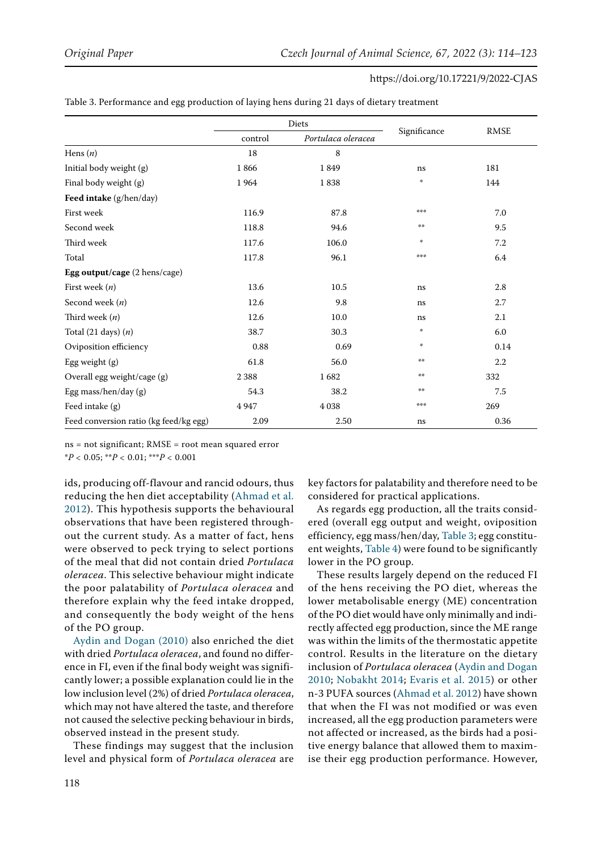| https://doi.org/10.17221/9/2022-CJAS |
|--------------------------------------|
|--------------------------------------|

|                                        | Diets   |                    |               |             |  |
|----------------------------------------|---------|--------------------|---------------|-------------|--|
|                                        | control | Portulaca oleracea | Significance  | <b>RMSE</b> |  |
| Hens $(n)$                             | 18      | 8                  |               |             |  |
| Initial body weight (g)                | 1866    | 1849               | ns            | 181         |  |
| Final body weight (g)                  | 1964    | 1838               | 華             | 144         |  |
| Feed intake (g/hen/day)                |         |                    |               |             |  |
| First week                             | 116.9   | 87.8               | ***           | 7.0         |  |
| Second week                            | 118.8   | 94.6               | $\pm$ $\pm$   | 9.5         |  |
| Third week                             | 117.6   | 106.0              | $\frac{1}{2}$ | 7.2         |  |
| Total                                  | 117.8   | 96.1               | ***           | 6.4         |  |
| Egg output/cage (2 hens/cage)          |         |                    |               |             |  |
| First week $(n)$                       | 13.6    | 10.5               | ns            | 2.8         |  |
| Second week $(n)$                      | 12.6    | 9.8                | ns            | 2.7         |  |
| Third week $(n)$                       | 12.6    | 10.0               | ns            | 2.1         |  |
| Total $(21 \text{ days}) (n)$          | 38.7    | 30.3               | 米             | 6.0         |  |
| Oviposition efficiency                 | 0.88    | 0.69               | $\frac{1}{2}$ | 0.14        |  |
| Egg weight (g)                         | 61.8    | 56.0               | $\pm$ $\pm$   | 2.2         |  |
| Overall egg weight/cage (g)            | 2388    | 1682               | $\pm$ $\pm$   | 332         |  |
| Egg mass/hen/day (g)                   | 54.3    | 38.2               | 杀杀            | 7.5         |  |
| Feed intake (g)                        | 4947    | 4 0 38             | ***           | 269         |  |
| Feed conversion ratio (kg feed/kg egg) | 2.09    | 2.50               | ns            | 0.36        |  |

Table 3. Performance and egg production of laying hens during 21 days of dietary treatment

ns = not significant; RMSE = root mean squared error

\**P <* 0.05; \*\**P <* 0.01; \*\*\**P <* 0.001

ids, producing off-flavour and rancid odours, thus reducing the hen diet acceptability [\(Ahmad et al.](#page-8-16)  [2012\)](#page-8-16). This hypothesis supports the behavioural observations that have been registered throughout the current study. As a matter of fact, hens were observed to peck trying to select portions of the meal that did not contain dried *Portulaca oleracea*. This selective behaviour might indicate the poor palatability of *Portulaca oleracea* and therefore explain why the feed intake dropped, and consequently the body weight of the hens of the PO group.

[Aydin and Dogan \(2010\)](#page-8-15) also enriched the diet with dried *Portulaca oleracea*, and found no difference in FI, even if the final body weight was significantly lower; a possible explanation could lie in the low inclusion level (2%) of dried *Portulaca oleracea*, which may not have altered the taste, and therefore not caused the selective pecking behaviour in birds, observed instead in the present study.

These findings may suggest that the inclusion level and physical form of *Portulaca oleracea* are key factors for palatability and therefore need to be considered for practical applications.

As regards egg production, all the traits considered (overall egg output and weight, oviposition efficiency, egg mass/hen/day, Table 3; egg constituent weights, Table 4) were found to be significantly lower in the PO group.

These results largely depend on the reduced FI of the hens receiving the PO diet, whereas the lower metabolisable energy (ME) concentration of the PO diet would have only minimally and indirectly affected egg production, since the ME range was within the limits of the thermostatic appetite control. Results in the literature on the dietary inclusion of *Portulaca oleracea* [\(Aydin and Dogan](#page-8-15) [2010](#page-8-15); [Nobakht 2014](#page-8-6); [Evaris et al. 2015\)](#page-8-7) or other n-3 PUFA sources ([Ahmad et al. 2012\)](#page-8-16) have shown that when the FI was not modified or was even increased, all the egg production parameters were not affected or increased, as the birds had a positive energy balance that allowed them to maximise their egg production performance. However,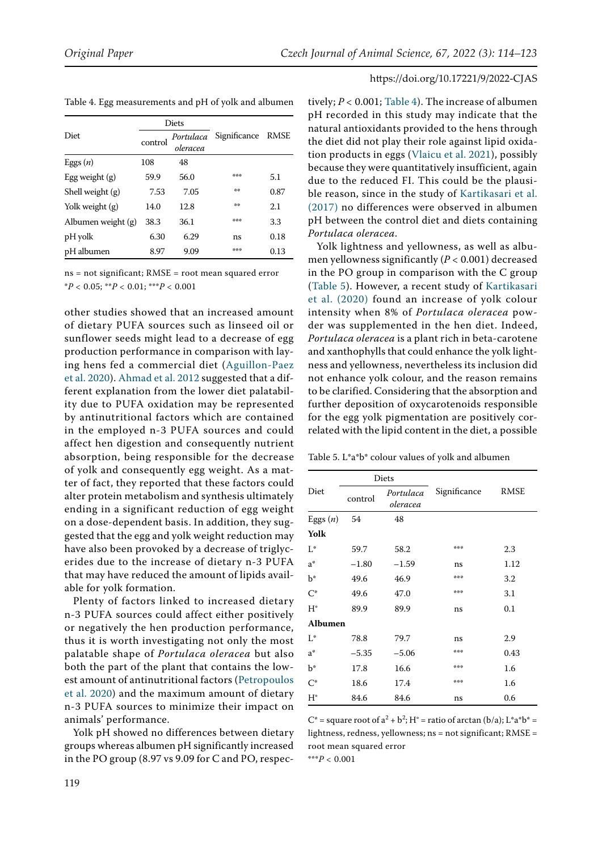|                  |         | Diets                 |                   |      |
|------------------|---------|-----------------------|-------------------|------|
| Diet             | control | Portulaca<br>oleracea | Significance RMSE |      |
| Eggs $(n)$       | 108     | 48                    |                   |      |
| Egg weight $(g)$ | 59.9    | 56.0                  | ***               | 5.1  |
| Shell weight (g) | 7.53    | 7.05                  | 崇景                | 0.87 |

Table 4. Egg measurements and pH of yolk and albumen

ns = not significant; RMSE = root mean squared error \**P <* 0.05; \*\**P <* 0.01; \*\*\**P <* 0.001

Yolk weight (g) 14.0 12.8 \*\* 2.1 Albumen weight (g) 38.3 36.1 \*\*\* 3.3 pH yolk 6.30 6.29 ns 0.18 pH albumen 8.97 9.09 \*\*\* 0.13

other studies showed that an increased amount of dietary PUFA sources such as linseed oil or sunflower seeds might lead to a decrease of egg production performance in comparison with laying hens fed a commercial diet ([Aguillon-Paez](#page-8-19)  [et al. 2020\)](#page-8-19). [Ahmad et al. 2012](#page-8-16) suggested that a different explanation from the lower diet palatability due to PUFA oxidation may be represented by antinutritional factors which are contained in the employed n-3 PUFA sources and could affect hen digestion and consequently nutrient absorption, being responsible for the decrease of yolk and consequently egg weight. As a matter of fact, they reported that these factors could alter protein metabolism and synthesis ultimately ending in a significant reduction of egg weight on a dose-dependent basis. In addition, they suggested that the egg and yolk weight reduction may have also been provoked by a decrease of triglycerides due to the increase of dietary n-3 PUFA that may have reduced the amount of lipids available for yolk formation.

Plenty of factors linked to increased dietary n-3 PUFA sources could affect either positively or negatively the hen production performance, thus it is worth investigating not only the most palatable shape of *Portulaca oleracea* but also both the part of the plant that contains the lowest amount of antinutritional factors ([Petropoulos](#page-8-20)  [et al. 2020\)](#page-8-20) and the maximum amount of dietary n-3 PUFA sources to minimize their impact on animals' performance.

Yolk pH showed no differences between dietary groups whereas albumen pH significantly increased in the PO group (8.97 vs 9.09 for C and PO, respec-

tively; *P <* 0.001; Table 4). The increase of albumen pH recorded in this study may indicate that the natural antioxidants provided to the hens through the diet did not play their role against lipid oxidation products in eggs ([Vlaicu et al. 2021\)](#page-9-2), possibly because they were quantitatively insufficient, again due to the reduced FI. This could be the plausible reason, since in the study of [Kartikasari et al.](#page-8-17) [\(2017\)](#page-8-17) no differences were observed in albumen pH between the control diet and diets containing *Portulaca oleracea*.

Yolk lightness and yellowness, as well as albumen yellowness significantly (*P <* 0.001) decreased in the PO group in comparison with the C group (Table 5). However, a recent study of [Kartikasari](#page-8-18) [et al. \(2020\)](#page-8-18) found an increase of yolk colour intensity when 8% of *Portulaca oleracea* powder was supplemented in the hen diet. Indeed, *Portulaca oleracea* is a plant rich in beta-carotene and xanthophylls that could enhance the yolk lightness and yellowness, nevertheless its inclusion did not enhance yolk colour, and the reason remains to be clarified. Considering that the absorption and further deposition of oxycarotenoids responsible for the egg yolk pigmentation are positively correlated with the lipid content in the diet, a possible

Table 5. L\*a\*b\* colour values of yolk and albumen

|                | Diets   |                       |              |             |  |
|----------------|---------|-----------------------|--------------|-------------|--|
| Diet           | control | Portulaca<br>oleracea | Significance | <b>RMSE</b> |  |
| Eggs $(n)$     | 54      | 48                    |              |             |  |
| Yolk           |         |                       |              |             |  |
| $L^*$          | 59.7    | 58.2                  | 普季季          | 2.3         |  |
| $a^*$          | $-1.80$ | $-1.59$               | ns           | 1.12        |  |
| þ*             | 49.6    | 46.9                  | ***          | 3.2         |  |
| $C^*$          | 49.6    | 47.0                  | 普季季          | 3.1         |  |
| $H^{\circ}$    | 89.9    | 89.9                  | ns           | 0.1         |  |
| <b>Albumen</b> |         |                       |              |             |  |
| $L^*$          | 78.8    | 79.7                  | ns           | 2.9         |  |
| $a^*$          | $-5.35$ | $-5.06$               | ***          | 0.43        |  |
| b*             | 17.8    | 16.6                  | 法法法          | 1.6         |  |
| $C^*$          | 18.6    | 17.4                  | 法法法          | 1.6         |  |
| $H^{\circ}$    | 84.6    | 84.6                  | ns           | 0.6         |  |

 $C^*$  = square root of  $a^2 + b^2$ ; H<sup>°</sup> = ratio of arctan (b/a); L<sup>\*</sup>a\*b\* = lightness, redness, yellowness; ns = not significant; RMSE = root mean squared error

\*\*\**P <* 0.001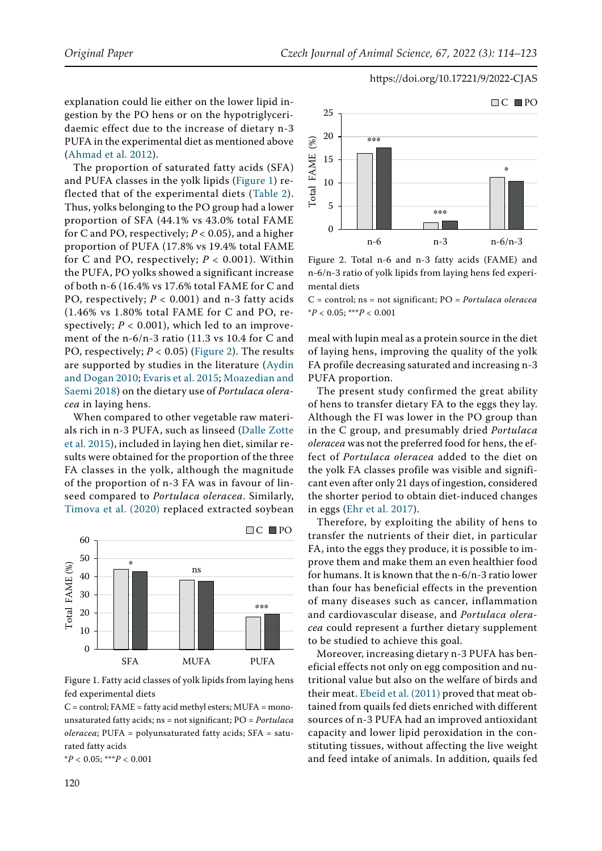explanation could lie either on the lower lipid ingestion by the PO hens or on the hypotriglyceridaemic effect due to the increase of dietary n-3 PUFA in the experimental diet as mentioned above [\(Ahmad et al. 2012\)](#page-8-16).

The proportion of saturated fatty acids (SFA) and PUFA classes in the yolk lipids [\(Figure 1\)](#page-6-0) reflected that of the experimental diets (Table 2). Thus, yolks belonging to the PO group had a lower proportion of SFA (44.1% vs 43.0% total FAME for C and PO, respectively; *P <* 0.05), and a higher proportion of PUFA (17.8% vs 19.4% total FAME for C and PO, respectively; *P <* 0.001). Within the PUFA, PO yolks showed a significant increase of both n-6 (16.4% vs 17.6% total FAME for C and PO, respectively; *P <* 0.001) and n-3 fatty acids (1.46% vs 1.80% total FAME for C and PO, respectively;  $P < 0.001$ ), which led to an improvement of the n-6/n-3 ratio (11.3 vs 10.4 for C and PO, respectively; *P <* 0.05) [\(Figure 2\)](#page-6-1). The results are supported by studies in the literature ([Aydin](#page-8-15)  [and Dogan 2010;](#page-8-15) [Evaris et al. 2015](#page-8-7); [Moazedian and](#page-8-8)  [Saemi 2018](#page-8-8)) on the dietary use of *Portulaca oleracea* in laying hens.

When compared to other vegetable raw materials rich in n-3 PUFA, such as linseed ([Dalle Zotte](#page-8-2)  [et al. 2015](#page-8-2)), included in laying hen diet, similar results were obtained for the proportion of the three FA classes in the yolk, although the magnitude of the proportion of n-3 FA was in favour of linseed compared to *Portulaca oleracea*. Similarly, [Timova et al. \(2020\)](#page-8-21) replaced extracted soybean

<span id="page-6-0"></span>

Figure 1. Fatty acid classes of yolk lipids from laying hens fed experimental diets

 $C =$  control; FAME = fatty acid methyl esters; MUFA = monounsaturated fatty acids; ns = not significant; PO = *Portulaca oleracea*; PUFA = polyunsaturated fatty acids; SFA = saturated fatty acids

\**P <* 0.05; \*\*\**P <* 0.001

<span id="page-6-1"></span>

Figure 2. Total n-6 and n-3 fatty acids (FAME) and n-6/n-3 ratio of yolk lipids from laying hens fed experimental diets

C = control; ns = not significant; PO = *Portulaca oleracea* \**P <* 0.05; \*\*\**P <* 0.001

meal with lupin meal as a protein source in the diet of laying hens, improving the quality of the yolk FA profile decreasing saturated and increasing n-3 PUFA proportion.

The present study confirmed the great ability of hens to transfer dietary FA to the eggs they lay. Although the FI was lower in the PO group than in the C group, and presumably dried *Portulaca oleracea* was not the preferred food for hens, the effect of *Portulaca oleracea* added to the diet on the yolk FA classes profile was visible and significant even after only 21 days of ingestion, considered the shorter period to obtain diet-induced changes in eggs ([Ehr et al. 2017\)](#page-8-22).

Therefore, by exploiting the ability of hens to transfer the nutrients of their diet, in particular FA, into the eggs they produce, it is possible to improve them and make them an even healthier food for humans. It is known that the n-6/n-3 ratio lower than four has beneficial effects in the prevention of many diseases such as cancer, inflammation and cardiovascular disease, and *Portulaca oleracea* could represent a further dietary supplement to be studied to achieve this goal.

Moreover, increasing dietary n-3 PUFA has beneficial effects not only on egg composition and nutritional value but also on the welfare of birds and their meat. [Ebeid et al. \(2011\)](#page-8-23) proved that meat obtained from quails fed diets enriched with different sources of n-3 PUFA had an improved antioxidant capacity and lower lipid peroxidation in the constituting tissues, without affecting the live weight and feed intake of animals. In addition, quails fed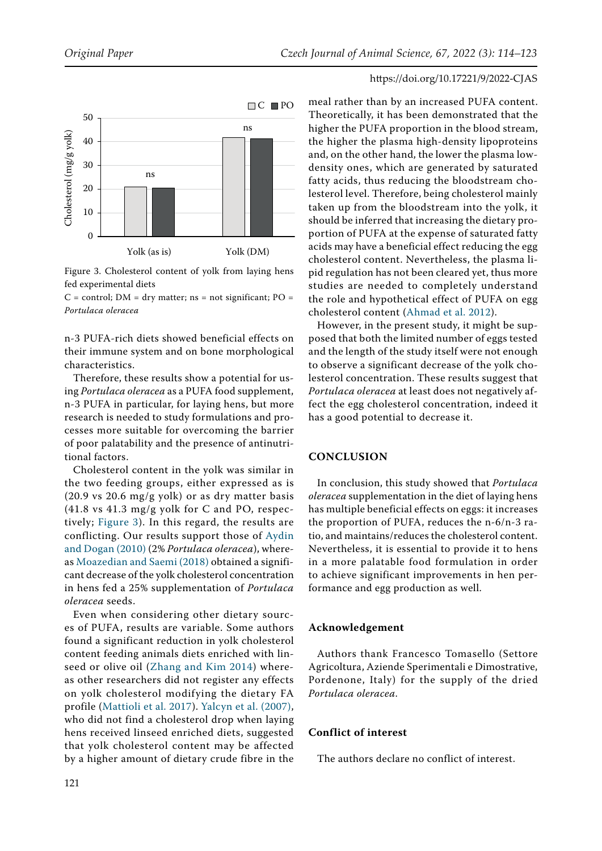<span id="page-7-0"></span>

Figure 3. Cholesterol content of yolk from laying hens fed experimental diets

 $C =$  control; DM = dry matter; ns = not significant; PO = *Portulaca oleracea*

n-3 PUFA-rich diets showed beneficial effects on their immune system and on bone morphological characteristics.

Therefore, these results show a potential for using *Portulaca oleracea* as a PUFA food supplement, n-3 PUFA in particular, for laying hens, but more research is needed to study formulations and processes more suitable for overcoming the barrier of poor palatability and the presence of antinutritional factors.

Cholesterol content in the yolk was similar in the two feeding groups, either expressed as is (20.9 vs 20.6 mg/g yolk) or as dry matter basis (41.8 vs 41.3 mg/g yolk for C and PO, respectively; [Figure 3](#page-7-0)). In this regard, the results are conflicting. Our results support those of [Aydin](#page-8-15)  [and Dogan \(2010\)](#page-8-15) (2% *Portulaca oleracea*), whereas [Moazedian and Saemi \(2018\) o](#page-8-8)btained a significant decrease of the yolk cholesterol concentration in hens fed a 25% supplementation of *Portulaca oleracea* seeds.

Even when considering other dietary sources of PUFA, results are variable. Some authors found a significant reduction in yolk cholesterol content feeding animals diets enriched with linseed or olive oil [\(Zhang and Kim 2014](#page-9-3)) whereas other researchers did not register any effects on yolk cholesterol modifying the dietary FA profile [\(Mattioli et al. 2017\)](#page-8-24). [Yalcyn et al. \(2007\)](#page-9-4), who did not find a cholesterol drop when laying hens received linseed enriched diets, suggested that yolk cholesterol content may be affected by a higher amount of dietary crude fibre in the meal rather than by an increased PUFA content. Theoretically, it has been demonstrated that the higher the PUFA proportion in the blood stream, the higher the plasma high-density lipoproteins and, on the other hand, the lower the plasma lowdensity ones, which are generated by saturated fatty acids, thus reducing the bloodstream cholesterol level. Therefore, being cholesterol mainly taken up from the bloodstream into the yolk, it should be inferred that increasing the dietary proportion of PUFA at the expense of saturated fatty acids may have a beneficial effect reducing the egg cholesterol content. Nevertheless, the plasma lipid regulation has not been cleared yet, thus more studies are needed to completely understand the role and hypothetical effect of PUFA on egg cholesterol content ([Ahmad et al. 2012\)](#page-8-16).

However, in the present study, it might be supposed that both the limited number of eggs tested and the length of the study itself were not enough to observe a significant decrease of the yolk cholesterol concentration. These results suggest that *Portulaca oleracea* at least does not negatively affect the egg cholesterol concentration, indeed it has a good potential to decrease it.

#### **CONCLUSION**

In conclusion, this study showed that *Portulaca oleracea* supplementation in the diet of laying hens has multiple beneficial effects on eggs: it increases the proportion of PUFA, reduces the n-6/n-3 ratio, and maintains/reduces the cholesterol content. Nevertheless, it is essential to provide it to hens in a more palatable food formulation in order to achieve significant improvements in hen performance and egg production as well.

# **Acknowledgement**

Authors thank Francesco Tomasello (Settore Agricoltura, Aziende Sperimentali e Dimostrative, Pordenone, Italy) for the supply of the dried *Portulaca oleracea*.

## **Conflict of interest**

The authors declare no conflict of interest.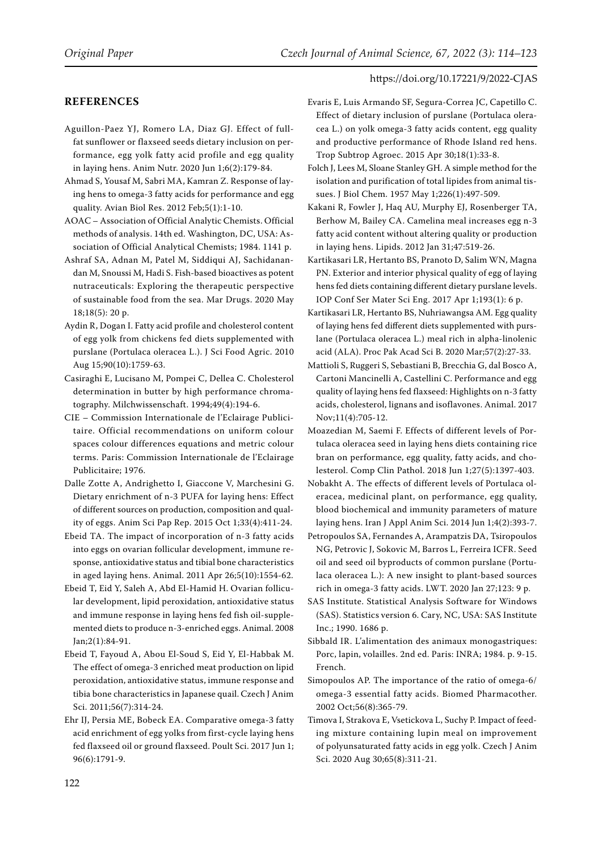# **REFERENCES**

<span id="page-8-19"></span>Aguillon-Paez YJ, Romero LA, Diaz GJ. Effect of fullfat sunflower or flaxseed seeds dietary inclusion on performance, egg yolk fatty acid profile and egg quality in laying hens. Anim Nutr. 2020 Jun 1;6(2):179-84.

- <span id="page-8-16"></span>Ahmad S, Yousaf M, Sabri MA, Kamran Z. Response of laying hens to omega-3 fatty acids for performance and egg quality. Avian Biol Res. 2012 Feb;5(1):1-10.
- <span id="page-8-10"></span>AOAC – Association of Official Analytic Chemists. Official methods of analysis. 14th ed. Washington, DC, USA: Association of Official Analytical Chemists; 1984. 1141 p.
- <span id="page-8-0"></span>Ashraf SA, Adnan M, Patel M, Siddiqui AJ, Sachidanandan M, Snoussi M, Hadi S. Fish-based bioactives as potent nutraceuticals: Exploring the therapeutic perspective of sustainable food from the sea. Mar Drugs. 2020 May 18;18(5): 20 p.
- <span id="page-8-15"></span>Aydin R, Dogan I. Fatty acid profile and cholesterol content of egg yolk from chickens fed diets supplemented with purslane (Portulaca oleracea L.). J Sci Food Agric. 2010 Aug 15;90(10):1759-63.
- <span id="page-8-13"></span>Casiraghi E, Lucisano M, Pompei C, Dellea C. Cholesterol determination in butter by high performance chromatography. Milchwissenschaft. 1994;49(4):194-6.
- <span id="page-8-12"></span>CIE – Commission Internationale de l'Eclairage Publicitaire. Official recommendations on uniform colour spaces colour differences equations and metric colour terms. Paris: Commission Internationale de l'Eclairage Publicitaire; 1976.
- <span id="page-8-2"></span>Dalle Zotte A, Andrighetto I, Giaccone V, Marchesini G. Dietary enrichment of n-3 PUFA for laying hens: Effect of different sources on production, composition and quality of eggs. Anim Sci Pap Rep. 2015 Oct 1;33(4):411-24.
- <span id="page-8-5"></span>Ebeid TA. The impact of incorporation of n-3 fatty acids into eggs on ovarian follicular development, immune response, antioxidative status and tibial bone characteristics in aged laying hens. Animal. 2011 Apr 26;5(10):1554-62.
- <span id="page-8-4"></span>Ebeid T, Eid Y, Saleh A, Abd El-Hamid H. Ovarian follicular development, lipid peroxidation, antioxidative status and immune response in laying hens fed fish oil-supplemented diets to produce n-3-enriched eggs. Animal. 2008 Jan;2(1):84-91.
- <span id="page-8-23"></span>Ebeid T, Fayoud A, Abou El-Soud S, Eid Y, El-Habbak M. The effect of omega-3 enriched meat production on lipid peroxidation, antioxidative status, immune response and tibia bone characteristics in Japanese quail. Czech J Anim Sci. 2011;56(7):314-24.
- <span id="page-8-22"></span>Ehr IJ, Persia ME, Bobeck EA. Comparative omega-3 fatty acid enrichment of egg yolks from first-cycle laying hens fed flaxseed oil or ground flaxseed. Poult Sci. 2017 Jun 1; 96(6):1791-9.
- <span id="page-8-7"></span>Evaris E, Luis Armando SF, Segura-Correa JC, Capetillo C. Effect of dietary inclusion of purslane (Portulaca oleracea L.) on yolk omega-3 fatty acids content, egg quality and productive performance of Rhode Island red hens. Trop Subtrop Agroec. 2015 Apr 30;18(1):33-8.
- <span id="page-8-9"></span>Folch J, Lees M, Sloane Stanley GH. A simple method for the isolation and purification of total lipides from animal tissues. J Biol Chem. 1957 May 1;226(1):497-509.
- <span id="page-8-3"></span>Kakani R, Fowler J, Haq AU, Murphy EJ, Rosenberger TA, Berhow M, Bailey CA. Camelina meal increases egg n-3 fatty acid content without altering quality or production in laying hens. Lipids. 2012 Jan 31;47:519-26.
- <span id="page-8-17"></span>Kartikasari LR, Hertanto BS, Pranoto D, Salim WN, Magna PN. Exterior and interior physical quality of egg of laying hens fed diets containing different dietary purslane levels. IOP Conf Ser Mater Sci Eng. 2017 Apr 1;193(1): 6 p.
- <span id="page-8-18"></span>Kartikasari LR, Hertanto BS, Nuhriawangsa AM. Egg quality of laying hens fed different diets supplemented with purslane (Portulaca oleracea L.) meal rich in alpha-linolenic acid (ALA). Proc Pak Acad Sci B. 2020 Mar;57(2):27-33.
- <span id="page-8-24"></span>Mattioli S, Ruggeri S, Sebastiani B, Brecchia G, dal Bosco A, Cartoni Mancinelli A, Castellini C. Performance and egg quality of laying hens fed flaxseed: Highlights on n-3 fatty acids, cholesterol, lignans and isoflavones. Animal. 2017 Nov;11(4):705-12.
- <span id="page-8-8"></span>Moazedian M, Saemi F. Effects of different levels of Portulaca oleracea seed in laying hens diets containing rice bran on performance, egg quality, fatty acids, and cholesterol. Comp Clin Pathol. 2018 Jun 1;27(5):1397-403.
- <span id="page-8-6"></span>Nobakht A. The effects of different levels of Portulaca oleracea, medicinal plant, on performance, egg quality, blood biochemical and immunity parameters of mature laying hens. Iran J Appl Anim Sci. 2014 Jun 1;4(2):393-7.
- <span id="page-8-20"></span>Petropoulos SA, Fernandes A, Arampatzis DA, Tsiropoulos NG, Petrovic J, Sokovic M, Barros L, Ferreira ICFR. Seed oil and seed oil byproducts of common purslane (Portulaca oleracea L.): A new insight to plant-based sources rich in omega-3 fatty acids. LWT. 2020 Jan 27;123: 9 p.
- <span id="page-8-14"></span>SAS Institute. Statistical Analysis Software for Windows (SAS). Statistics version 6. Cary, NC, USA: SAS Institute Inc.; 1990. 1686 p.
- <span id="page-8-11"></span>Sibbald IR. L'alimentation des animaux monogastriques: Porc, lapin, volailles. 2nd ed. Paris: INRA; 1984. p. 9-15. French.
- <span id="page-8-1"></span>Simopoulos AP. The importance of the ratio of omega-6/ omega-3 essential fatty acids. Biomed Pharmacother. 2002 Oct;56(8):365-79.
- <span id="page-8-21"></span>Timova I, Strakova E, Vsetickova L, Suchy P. Impact of feeding mixture containing lupin meal on improvement of polyunsaturated fatty acids in egg yolk. Czech J Anim Sci. 2020 Aug 30;65(8):311-21.